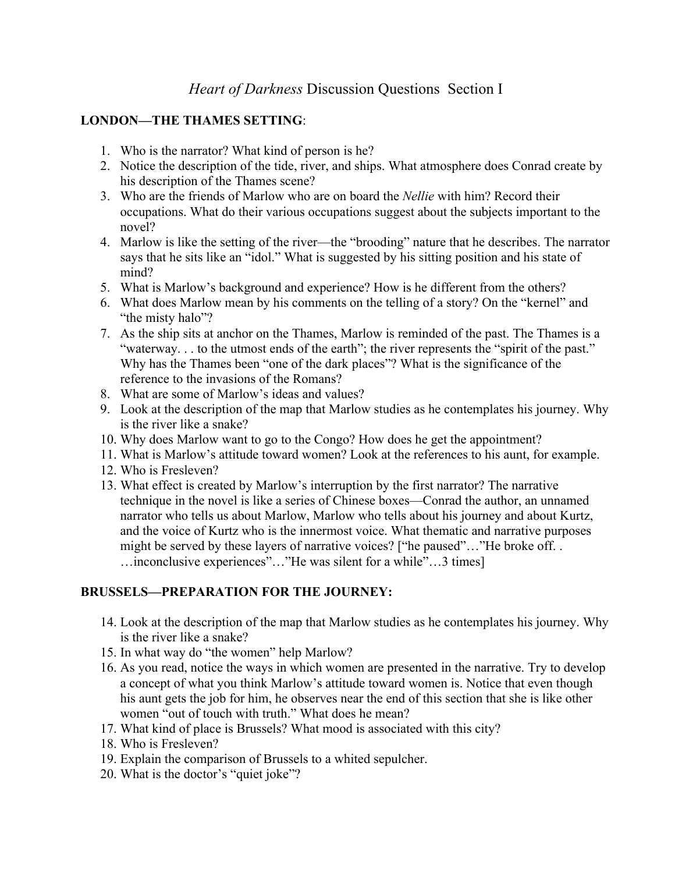#### **LONDON—THE THAMES SETTING**:

- 1. Who is the narrator? What kind of person is he?
- 2. Notice the description of the tide, river, and ships. What atmosphere does Conrad create by his description of the Thames scene?
- 3. Who are the friends of Marlow who are on board the *Nellie* with him? Record their occupations. What do their various occupations suggest about the subjects important to the novel?
- 4. Marlow is like the setting of the river—the "brooding" nature that he describes. The narrator says that he sits like an "idol." What is suggested by his sitting position and his state of mind?
- 5. What is Marlow's background and experience? How is he different from the others?
- 6. What does Marlow mean by his comments on the telling of a story? On the "kernel" and "the misty halo"?
- 7. As the ship sits at anchor on the Thames, Marlow is reminded of the past. The Thames is a "waterway. . . to the utmost ends of the earth"; the river represents the "spirit of the past." Why has the Thames been "one of the dark places"? What is the significance of the reference to the invasions of the Romans?
- 8. What are some of Marlow's ideas and values?
- 9. Look at the description of the map that Marlow studies as he contemplates his journey. Why is the river like a snake?
- 10. Why does Marlow want to go to the Congo? How does he get the appointment?
- 11. What is Marlow's attitude toward women? Look at the references to his aunt, for example.
- 12. Who is Fresleven?
- 13. What effect is created by Marlow's interruption by the first narrator? The narrative technique in the novel is like a series of Chinese boxes—Conrad the author, an unnamed narrator who tells us about Marlow, Marlow who tells about his journey and about Kurtz, and the voice of Kurtz who is the innermost voice. What thematic and narrative purposes might be served by these layers of narrative voices? ["he paused"..."He broke off... …inconclusive experiences"…"He was silent for a while"…3 times]

## **BRUSSELS—PREPARATION FOR THE JOURNEY:**

- 14. Look at the description of the map that Marlow studies as he contemplates his journey. Why is the river like a snake?
- 15. In what way do "the women" help Marlow?
- 16. As you read, notice the ways in which women are presented in the narrative. Try to develop a concept of what you think Marlow's attitude toward women is. Notice that even though his aunt gets the job for him, he observes near the end of this section that she is like other women "out of touch with truth." What does he mean?
- 17. What kind of place is Brussels? What mood is associated with this city?
- 18. Who is Fresleven?
- 19. Explain the comparison of Brussels to a whited sepulcher.
- 20. What is the doctor's "quiet joke"?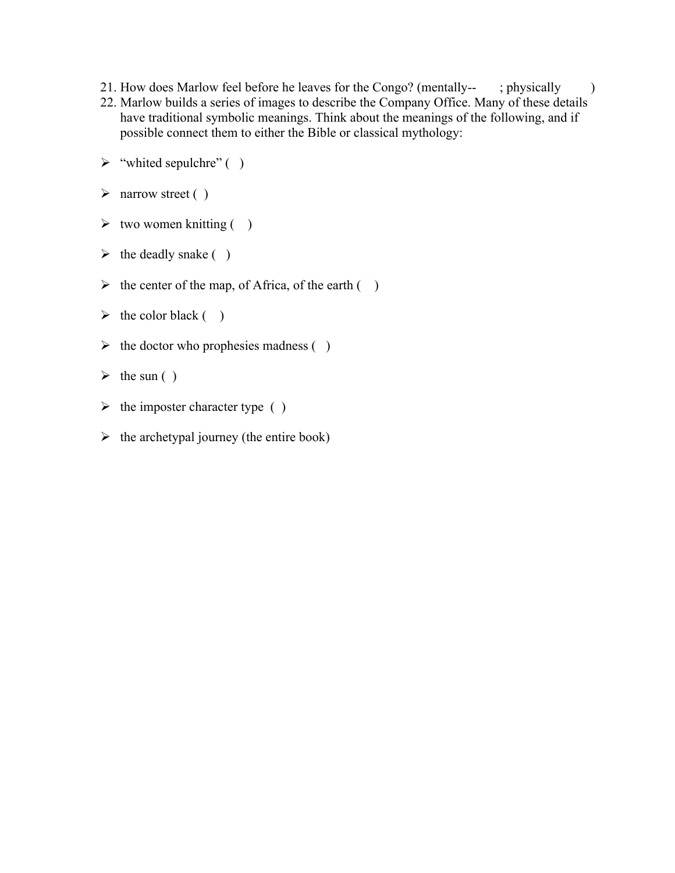- 21. How does Marlow feel before he leaves for the Congo? (mentally-- ; physically )
- 22. Marlow builds a series of images to describe the Company Office. Many of these details have traditional symbolic meanings. Think about the meanings of the following, and if possible connect them to either the Bible or classical mythology:
- $\triangleright$  "whited sepulchre" ()
- $\triangleright$  narrow street ()
- $\triangleright$  two women knitting ( )
- $\triangleright$  the deadly snake ( )
- $\triangleright$  the center of the map, of Africa, of the earth ()
- $\triangleright$  the color black ()
- $\triangleright$  the doctor who prophesies madness ()
- $\triangleright$  the sun ( )
- $\triangleright$  the imposter character type ( )
- $\triangleright$  the archetypal journey (the entire book)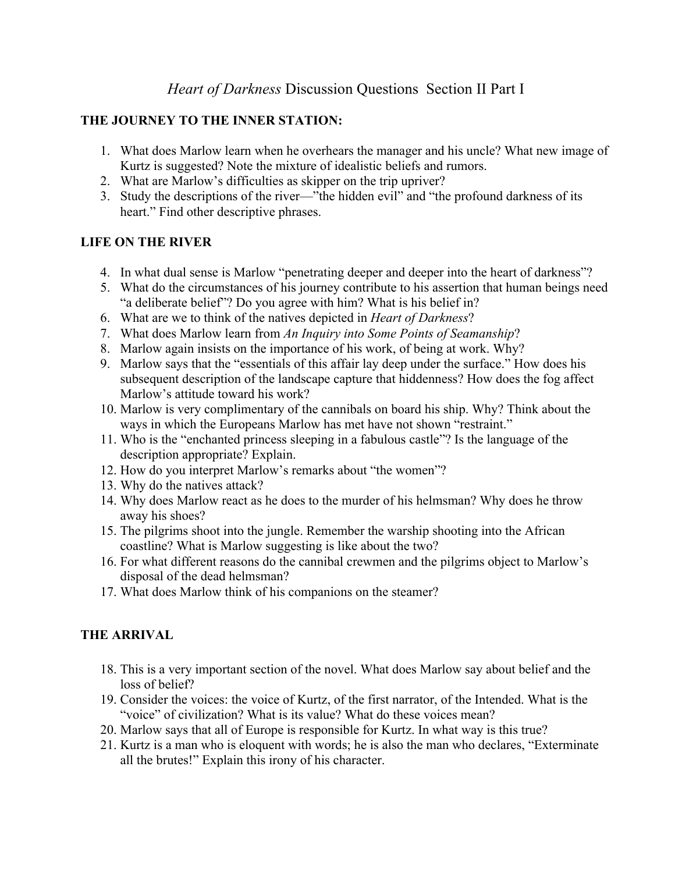## *Heart of Darkness* Discussion Questions Section II Part I

#### **THE JOURNEY TO THE INNER STATION:**

- 1. What does Marlow learn when he overhears the manager and his uncle? What new image of Kurtz is suggested? Note the mixture of idealistic beliefs and rumors.
- 2. What are Marlow's difficulties as skipper on the trip upriver?
- 3. Study the descriptions of the river—"the hidden evil" and "the profound darkness of its heart." Find other descriptive phrases.

#### **LIFE ON THE RIVER**

- 4. In what dual sense is Marlow "penetrating deeper and deeper into the heart of darkness"?
- 5. What do the circumstances of his journey contribute to his assertion that human beings need "a deliberate belief"? Do you agree with him? What is his belief in?
- 6. What are we to think of the natives depicted in *Heart of Darkness*?
- 7. What does Marlow learn from *An Inquiry into Some Points of Seamanship*?
- 8. Marlow again insists on the importance of his work, of being at work. Why?
- 9. Marlow says that the "essentials of this affair lay deep under the surface." How does his subsequent description of the landscape capture that hiddenness? How does the fog affect Marlow's attitude toward his work?
- 10. Marlow is very complimentary of the cannibals on board his ship. Why? Think about the ways in which the Europeans Marlow has met have not shown "restraint."
- 11. Who is the "enchanted princess sleeping in a fabulous castle"? Is the language of the description appropriate? Explain.
- 12. How do you interpret Marlow's remarks about "the women"?
- 13. Why do the natives attack?
- 14. Why does Marlow react as he does to the murder of his helmsman? Why does he throw away his shoes?
- 15. The pilgrims shoot into the jungle. Remember the warship shooting into the African coastline? What is Marlow suggesting is like about the two?
- 16. For what different reasons do the cannibal crewmen and the pilgrims object to Marlow's disposal of the dead helmsman?
- 17. What does Marlow think of his companions on the steamer?

## **THE ARRIVAL**

- 18. This is a very important section of the novel. What does Marlow say about belief and the loss of belief?
- 19. Consider the voices: the voice of Kurtz, of the first narrator, of the Intended. What is the "voice" of civilization? What is its value? What do these voices mean?
- 20. Marlow says that all of Europe is responsible for Kurtz. In what way is this true?
- 21. Kurtz is a man who is eloquent with words; he is also the man who declares, "Exterminate all the brutes!" Explain this irony of his character.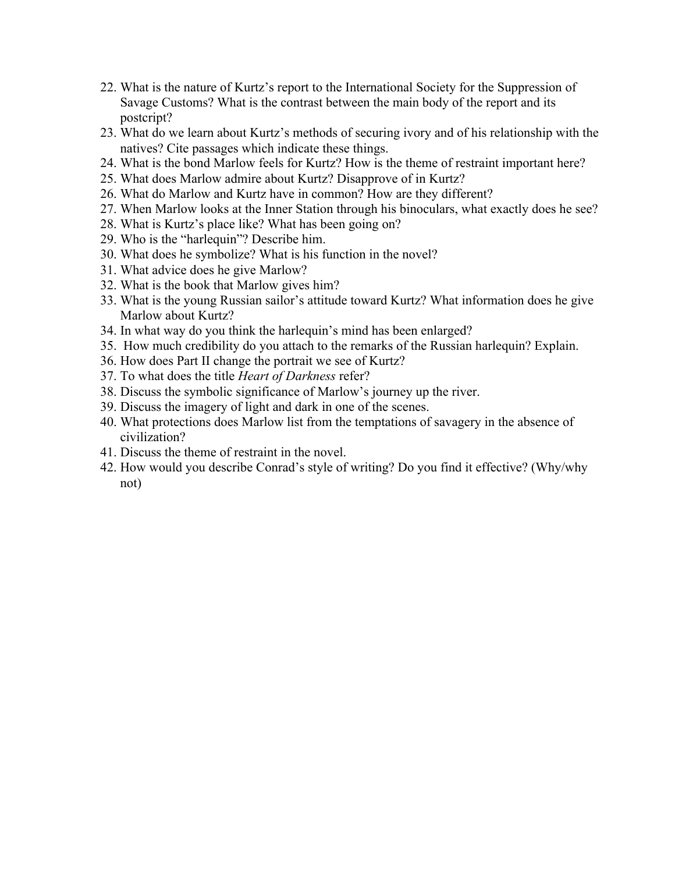- 22. What is the nature of Kurtz's report to the International Society for the Suppression of Savage Customs? What is the contrast between the main body of the report and its postcript?
- 23. What do we learn about Kurtz's methods of securing ivory and of his relationship with the natives? Cite passages which indicate these things.
- 24. What is the bond Marlow feels for Kurtz? How is the theme of restraint important here?
- 25. What does Marlow admire about Kurtz? Disapprove of in Kurtz?
- 26. What do Marlow and Kurtz have in common? How are they different?
- 27. When Marlow looks at the Inner Station through his binoculars, what exactly does he see?
- 28. What is Kurtz's place like? What has been going on?
- 29. Who is the "harlequin"? Describe him.
- 30. What does he symbolize? What is his function in the novel?
- 31. What advice does he give Marlow?
- 32. What is the book that Marlow gives him?
- 33. What is the young Russian sailor's attitude toward Kurtz? What information does he give Marlow about Kurtz?
- 34. In what way do you think the harlequin's mind has been enlarged?
- 35. How much credibility do you attach to the remarks of the Russian harlequin? Explain.
- 36. How does Part II change the portrait we see of Kurtz?
- 37. To what does the title *Heart of Darkness* refer?
- 38. Discuss the symbolic significance of Marlow's journey up the river.
- 39. Discuss the imagery of light and dark in one of the scenes.
- 40. What protections does Marlow list from the temptations of savagery in the absence of civilization?
- 41. Discuss the theme of restraint in the novel.
- 42. How would you describe Conrad's style of writing? Do you find it effective? (Why/why not)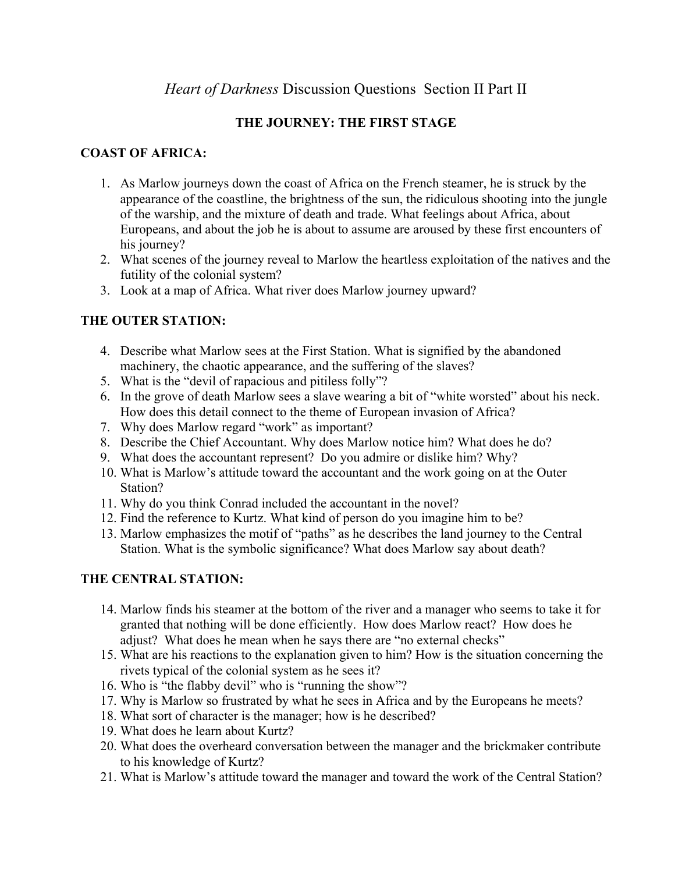# *Heart of Darkness* Discussion Questions Section II Part II

### **THE JOURNEY: THE FIRST STAGE**

#### **COAST OF AFRICA:**

- 1. As Marlow journeys down the coast of Africa on the French steamer, he is struck by the appearance of the coastline, the brightness of the sun, the ridiculous shooting into the jungle of the warship, and the mixture of death and trade. What feelings about Africa, about Europeans, and about the job he is about to assume are aroused by these first encounters of his journey?
- 2. What scenes of the journey reveal to Marlow the heartless exploitation of the natives and the futility of the colonial system?
- 3. Look at a map of Africa. What river does Marlow journey upward?

## **THE OUTER STATION:**

- 4. Describe what Marlow sees at the First Station. What is signified by the abandoned machinery, the chaotic appearance, and the suffering of the slaves?
- 5. What is the "devil of rapacious and pitiless folly"?
- 6. In the grove of death Marlow sees a slave wearing a bit of "white worsted" about his neck. How does this detail connect to the theme of European invasion of Africa?
- 7. Why does Marlow regard "work" as important?
- 8. Describe the Chief Accountant. Why does Marlow notice him? What does he do?
- 9. What does the accountant represent? Do you admire or dislike him? Why?
- 10. What is Marlow's attitude toward the accountant and the work going on at the Outer Station?
- 11. Why do you think Conrad included the accountant in the novel?
- 12. Find the reference to Kurtz. What kind of person do you imagine him to be?
- 13. Marlow emphasizes the motif of "paths" as he describes the land journey to the Central Station. What is the symbolic significance? What does Marlow say about death?

## **THE CENTRAL STATION:**

- 14. Marlow finds his steamer at the bottom of the river and a manager who seems to take it for granted that nothing will be done efficiently. How does Marlow react? How does he adjust? What does he mean when he says there are "no external checks"
- 15. What are his reactions to the explanation given to him? How is the situation concerning the rivets typical of the colonial system as he sees it?
- 16. Who is "the flabby devil" who is "running the show"?
- 17. Why is Marlow so frustrated by what he sees in Africa and by the Europeans he meets?
- 18. What sort of character is the manager; how is he described?
- 19. What does he learn about Kurtz?
- 20. What does the overheard conversation between the manager and the brickmaker contribute to his knowledge of Kurtz?
- 21. What is Marlow's attitude toward the manager and toward the work of the Central Station?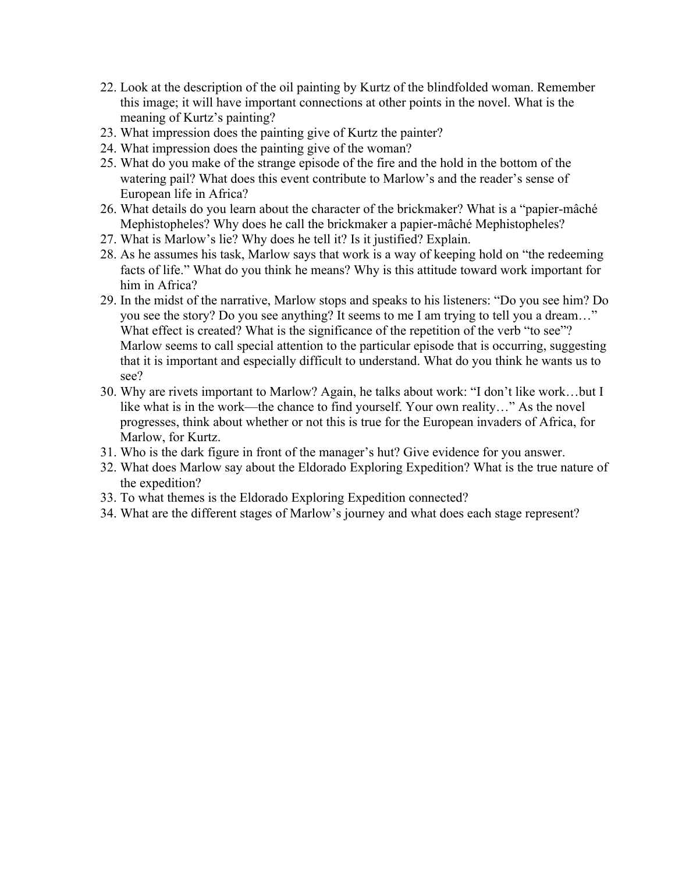- 22. Look at the description of the oil painting by Kurtz of the blindfolded woman. Remember this image; it will have important connections at other points in the novel. What is the meaning of Kurtz's painting?
- 23. What impression does the painting give of Kurtz the painter?
- 24. What impression does the painting give of the woman?
- 25. What do you make of the strange episode of the fire and the hold in the bottom of the watering pail? What does this event contribute to Marlow's and the reader's sense of European life in Africa?
- 26. What details do you learn about the character of the brickmaker? What is a "papier-mâché Mephistopheles? Why does he call the brickmaker a papier-mâché Mephistopheles?
- 27. What is Marlow's lie? Why does he tell it? Is it justified? Explain.
- 28. As he assumes his task, Marlow says that work is a way of keeping hold on "the redeeming facts of life." What do you think he means? Why is this attitude toward work important for him in Africa?
- 29. In the midst of the narrative, Marlow stops and speaks to his listeners: "Do you see him? Do you see the story? Do you see anything? It seems to me I am trying to tell you a dream…" What effect is created? What is the significance of the repetition of the verb "to see"? Marlow seems to call special attention to the particular episode that is occurring, suggesting that it is important and especially difficult to understand. What do you think he wants us to see?
- 30. Why are rivets important to Marlow? Again, he talks about work: "I don't like work…but I like what is in the work—the chance to find yourself. Your own reality…" As the novel progresses, think about whether or not this is true for the European invaders of Africa, for Marlow, for Kurtz.
- 31. Who is the dark figure in front of the manager's hut? Give evidence for you answer.
- 32. What does Marlow say about the Eldorado Exploring Expedition? What is the true nature of the expedition?
- 33. To what themes is the Eldorado Exploring Expedition connected?
- 34. What are the different stages of Marlow's journey and what does each stage represent?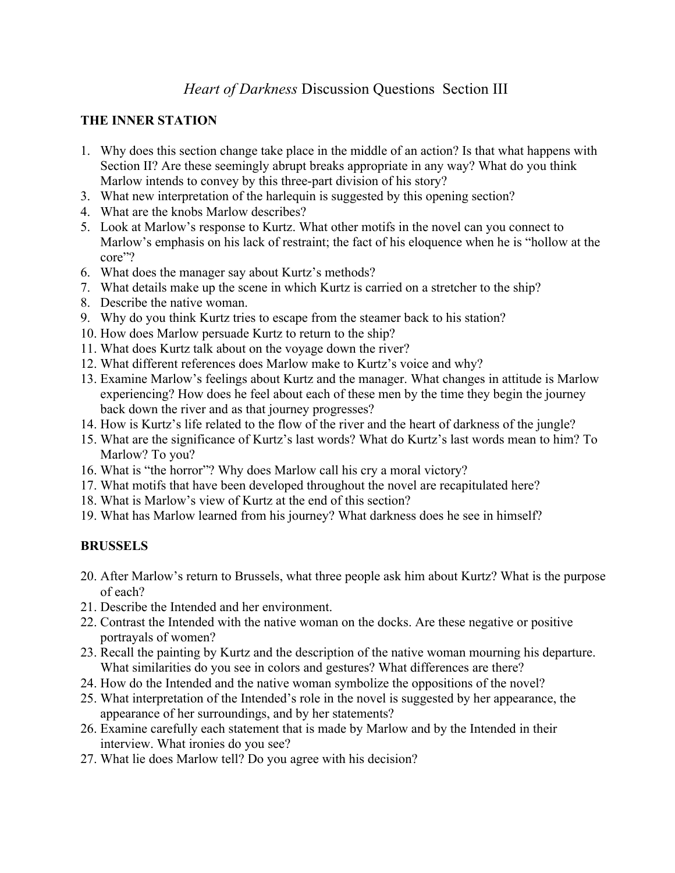## *Heart of Darkness* Discussion Questions Section III

#### **THE INNER STATION**

- 1. Why does this section change take place in the middle of an action? Is that what happens with Section II? Are these seemingly abrupt breaks appropriate in any way? What do you think Marlow intends to convey by this three-part division of his story?
- 3. What new interpretation of the harlequin is suggested by this opening section?
- 4. What are the knobs Marlow describes?
- 5. Look at Marlow's response to Kurtz. What other motifs in the novel can you connect to Marlow's emphasis on his lack of restraint; the fact of his eloquence when he is "hollow at the core"?
- 6. What does the manager say about Kurtz's methods?
- 7. What details make up the scene in which Kurtz is carried on a stretcher to the ship?
- 8. Describe the native woman.
- 9. Why do you think Kurtz tries to escape from the steamer back to his station?
- 10. How does Marlow persuade Kurtz to return to the ship?
- 11. What does Kurtz talk about on the voyage down the river?
- 12. What different references does Marlow make to Kurtz's voice and why?
- 13. Examine Marlow's feelings about Kurtz and the manager. What changes in attitude is Marlow experiencing? How does he feel about each of these men by the time they begin the journey back down the river and as that journey progresses?
- 14. How is Kurtz's life related to the flow of the river and the heart of darkness of the jungle?
- 15. What are the significance of Kurtz's last words? What do Kurtz's last words mean to him? To Marlow? To you?
- 16. What is "the horror"? Why does Marlow call his cry a moral victory?
- 17. What motifs that have been developed throughout the novel are recapitulated here?
- 18. What is Marlow's view of Kurtz at the end of this section?
- 19. What has Marlow learned from his journey? What darkness does he see in himself?

## **BRUSSELS**

- 20. After Marlow's return to Brussels, what three people ask him about Kurtz? What is the purpose of each?
- 21. Describe the Intended and her environment.
- 22. Contrast the Intended with the native woman on the docks. Are these negative or positive portrayals of women?
- 23. Recall the painting by Kurtz and the description of the native woman mourning his departure. What similarities do you see in colors and gestures? What differences are there?
- 24. How do the Intended and the native woman symbolize the oppositions of the novel?
- 25. What interpretation of the Intended's role in the novel is suggested by her appearance, the appearance of her surroundings, and by her statements?
- 26. Examine carefully each statement that is made by Marlow and by the Intended in their interview. What ironies do you see?
- 27. What lie does Marlow tell? Do you agree with his decision?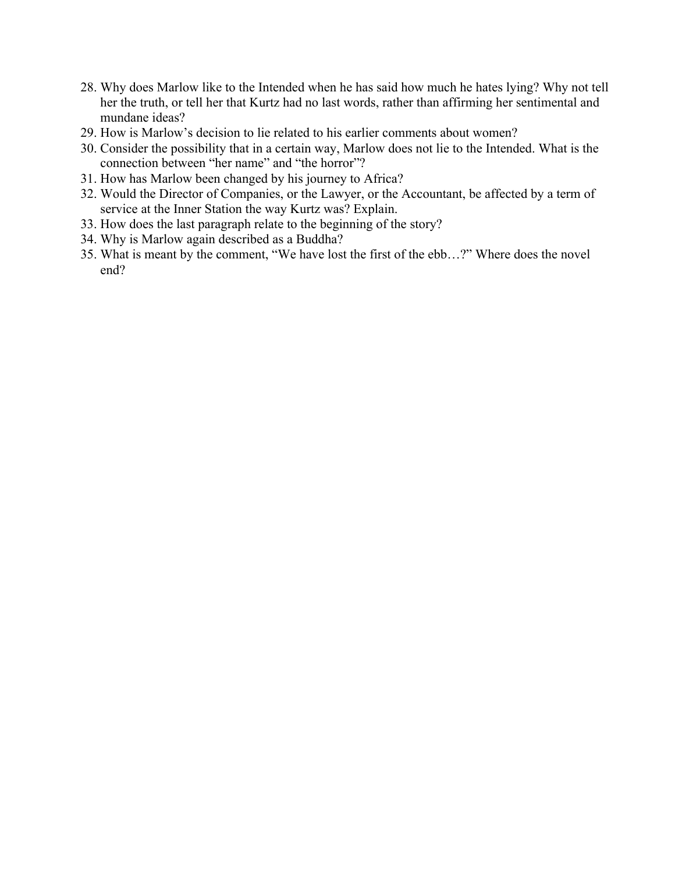- 28. Why does Marlow like to the Intended when he has said how much he hates lying? Why not tell her the truth, or tell her that Kurtz had no last words, rather than affirming her sentimental and mundane ideas?
- 29. How is Marlow's decision to lie related to his earlier comments about women?
- 30. Consider the possibility that in a certain way, Marlow does not lie to the Intended. What is the connection between "her name" and "the horror"?
- 31. How has Marlow been changed by his journey to Africa?
- 32. Would the Director of Companies, or the Lawyer, or the Accountant, be affected by a term of service at the Inner Station the way Kurtz was? Explain.
- 33. How does the last paragraph relate to the beginning of the story?
- 34. Why is Marlow again described as a Buddha?
- 35. What is meant by the comment, "We have lost the first of the ebb…?" Where does the novel end?